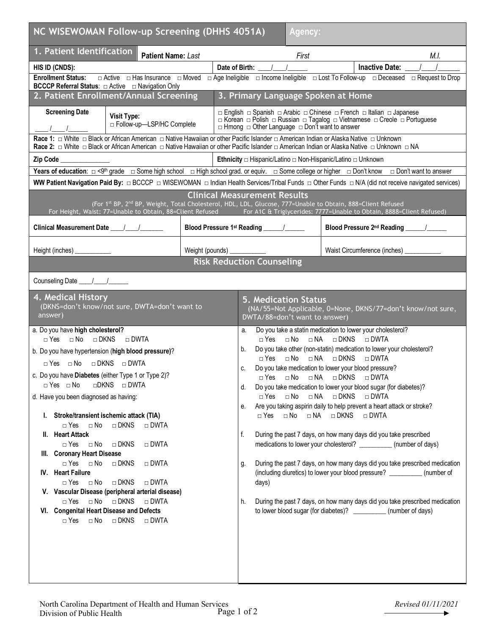| NC WISEWOMAN Follow-up Screening (DHHS 4051A)<br><b>Agency:</b>                                                                                                                                                                                                                                                                                                                                                                                                                                                                                                                                                                                                                                                                                                                                                                                                                                         |                 |                                                                                                                                                                                                                    |                                                                                                                                                                                                                                                                                                                                                                                                                                                                                                                                                                                                                                                                                                                                                                                                                                                                                                                                                             |  |  |  |
|---------------------------------------------------------------------------------------------------------------------------------------------------------------------------------------------------------------------------------------------------------------------------------------------------------------------------------------------------------------------------------------------------------------------------------------------------------------------------------------------------------------------------------------------------------------------------------------------------------------------------------------------------------------------------------------------------------------------------------------------------------------------------------------------------------------------------------------------------------------------------------------------------------|-----------------|--------------------------------------------------------------------------------------------------------------------------------------------------------------------------------------------------------------------|-------------------------------------------------------------------------------------------------------------------------------------------------------------------------------------------------------------------------------------------------------------------------------------------------------------------------------------------------------------------------------------------------------------------------------------------------------------------------------------------------------------------------------------------------------------------------------------------------------------------------------------------------------------------------------------------------------------------------------------------------------------------------------------------------------------------------------------------------------------------------------------------------------------------------------------------------------------|--|--|--|
| 1. Patient Identification<br><b>Patient Name: Last</b>                                                                                                                                                                                                                                                                                                                                                                                                                                                                                                                                                                                                                                                                                                                                                                                                                                                  |                 | First                                                                                                                                                                                                              | M.I.                                                                                                                                                                                                                                                                                                                                                                                                                                                                                                                                                                                                                                                                                                                                                                                                                                                                                                                                                        |  |  |  |
| HIS ID (CNDS):                                                                                                                                                                                                                                                                                                                                                                                                                                                                                                                                                                                                                                                                                                                                                                                                                                                                                          |                 | Date of Birth:                                                                                                                                                                                                     | Inactive Date: _                                                                                                                                                                                                                                                                                                                                                                                                                                                                                                                                                                                                                                                                                                                                                                                                                                                                                                                                            |  |  |  |
| <b>Enrollment Status:</b><br>$\Box$ Active $\Box$ Has Insurance $\Box$ Moved                                                                                                                                                                                                                                                                                                                                                                                                                                                                                                                                                                                                                                                                                                                                                                                                                            |                 |                                                                                                                                                                                                                    | $\Box$ Age Ineligible $\Box$ Income Ineligible $\Box$ Lost To Follow-up $\Box$ Deceased $\Box$ Request to Drop                                                                                                                                                                                                                                                                                                                                                                                                                                                                                                                                                                                                                                                                                                                                                                                                                                              |  |  |  |
| <b>BCCCP Referral Status:</b> □ Active □ Navigation Only<br>2. Patient Enrollment/Annual Screening                                                                                                                                                                                                                                                                                                                                                                                                                                                                                                                                                                                                                                                                                                                                                                                                      |                 | 3. Primary Language Spoken at Home                                                                                                                                                                                 |                                                                                                                                                                                                                                                                                                                                                                                                                                                                                                                                                                                                                                                                                                                                                                                                                                                                                                                                                             |  |  |  |
|                                                                                                                                                                                                                                                                                                                                                                                                                                                                                                                                                                                                                                                                                                                                                                                                                                                                                                         |                 |                                                                                                                                                                                                                    |                                                                                                                                                                                                                                                                                                                                                                                                                                                                                                                                                                                                                                                                                                                                                                                                                                                                                                                                                             |  |  |  |
| <b>Screening Date</b><br><b>Visit Type:</b><br>□ Follow-up-LSP/HC Complete                                                                                                                                                                                                                                                                                                                                                                                                                                                                                                                                                                                                                                                                                                                                                                                                                              |                 | □ English □ Spanish □ Arabic □ Chinese □ French □ Italian □ Japanese<br>□ Korean □ Polish □ Russian □ Tagalog □ Vietnamese □ Creole □ Portuguese<br>$\Box$ Hmong $\Box$ Other Language $\Box$ Don't want to answer |                                                                                                                                                                                                                                                                                                                                                                                                                                                                                                                                                                                                                                                                                                                                                                                                                                                                                                                                                             |  |  |  |
| Race 1: □ White □ Black or African American □ Native Hawaiian or other Pacific Islander □ American Indian or Alaska Native □ Unknown<br>Race 2: □ White □ Black or African American □ Native Hawaiian or other Pacific Islander □ American Indian or Alaska Native □ Unknown □ NA                                                                                                                                                                                                                                                                                                                                                                                                                                                                                                                                                                                                                       |                 |                                                                                                                                                                                                                    |                                                                                                                                                                                                                                                                                                                                                                                                                                                                                                                                                                                                                                                                                                                                                                                                                                                                                                                                                             |  |  |  |
| Zip Code                                                                                                                                                                                                                                                                                                                                                                                                                                                                                                                                                                                                                                                                                                                                                                                                                                                                                                |                 | <b>Ethnicity</b> $\Box$ Hispanic/Latino $\Box$ Non-Hispanic/Latino $\Box$ Unknown                                                                                                                                  |                                                                                                                                                                                                                                                                                                                                                                                                                                                                                                                                                                                                                                                                                                                                                                                                                                                                                                                                                             |  |  |  |
| Years of education: $\Box$ <9 <sup>th</sup> grade $\Box$ Some high school $\Box$ High school grad. or equiv. $\Box$ Some college or higher $\Box$ Don't know $\Box$ Don't want to answer                                                                                                                                                                                                                                                                                                                                                                                                                                                                                                                                                                                                                                                                                                                |                 |                                                                                                                                                                                                                    |                                                                                                                                                                                                                                                                                                                                                                                                                                                                                                                                                                                                                                                                                                                                                                                                                                                                                                                                                             |  |  |  |
| WW Patient Navigation Paid By: □ BCCCP □ WISEWOMAN □ Indian Health Services/Tribal Funds □ Other Funds □ N/A (did not receive navigated services)                                                                                                                                                                                                                                                                                                                                                                                                                                                                                                                                                                                                                                                                                                                                                       |                 |                                                                                                                                                                                                                    |                                                                                                                                                                                                                                                                                                                                                                                                                                                                                                                                                                                                                                                                                                                                                                                                                                                                                                                                                             |  |  |  |
| <b>Clinical Measurement Results</b><br>(For 1st BP, 2 <sup>nd</sup> BP, Weight, Total Cholesterol, HDL, LDL, Glucose, 777=Unable to Obtain, 888=Client Refused<br>For Height, Waist: 77=Unable to Obtain, 88=Client Refused For A1C & Triglycerides: 7777=Unable to Obtain, 8888=Client Refused)                                                                                                                                                                                                                                                                                                                                                                                                                                                                                                                                                                                                        |                 |                                                                                                                                                                                                                    |                                                                                                                                                                                                                                                                                                                                                                                                                                                                                                                                                                                                                                                                                                                                                                                                                                                                                                                                                             |  |  |  |
|                                                                                                                                                                                                                                                                                                                                                                                                                                                                                                                                                                                                                                                                                                                                                                                                                                                                                                         |                 |                                                                                                                                                                                                                    | Blood Pressure 2 <sup>nd</sup> Reading ______/_____                                                                                                                                                                                                                                                                                                                                                                                                                                                                                                                                                                                                                                                                                                                                                                                                                                                                                                         |  |  |  |
| Height (inches)                                                                                                                                                                                                                                                                                                                                                                                                                                                                                                                                                                                                                                                                                                                                                                                                                                                                                         | Weight (pounds) |                                                                                                                                                                                                                    | Waist Circumference (inches)                                                                                                                                                                                                                                                                                                                                                                                                                                                                                                                                                                                                                                                                                                                                                                                                                                                                                                                                |  |  |  |
|                                                                                                                                                                                                                                                                                                                                                                                                                                                                                                                                                                                                                                                                                                                                                                                                                                                                                                         |                 | <b>Risk Reduction Counseling</b>                                                                                                                                                                                   |                                                                                                                                                                                                                                                                                                                                                                                                                                                                                                                                                                                                                                                                                                                                                                                                                                                                                                                                                             |  |  |  |
|                                                                                                                                                                                                                                                                                                                                                                                                                                                                                                                                                                                                                                                                                                                                                                                                                                                                                                         |                 |                                                                                                                                                                                                                    |                                                                                                                                                                                                                                                                                                                                                                                                                                                                                                                                                                                                                                                                                                                                                                                                                                                                                                                                                             |  |  |  |
| 4. Medical History<br>(DKNS=don't know/not sure, DWTA=don't want to<br>answer)                                                                                                                                                                                                                                                                                                                                                                                                                                                                                                                                                                                                                                                                                                                                                                                                                          |                 | <b>5. Medication Status</b><br>DWTA/88=don't want to answer)                                                                                                                                                       | (NA/55=Not Applicable, 0=None, DKNS/77=don't know/not sure,                                                                                                                                                                                                                                                                                                                                                                                                                                                                                                                                                                                                                                                                                                                                                                                                                                                                                                 |  |  |  |
| a. Do you have high cholesterol?<br>$\Box$ Yes $\Box$ No $\Box$ DKNS<br>$\Box$ DWTA<br>b. Do you have hypertension (high blood pressure)?<br>$\Box$ Yes $\Box$ No $\Box$ DKNS $\Box$ DWTA<br>c. Do you have Diabetes (either Type 1 or Type 2)?<br>□DKNS □ DWTA<br>$\Box$ Yes $\Box$ No<br>d. Have you been diagnosed as having:<br>I. Stroke/transient ischemic attack (TIA)<br>$\Box$ Yes<br>$\square$ No<br>□ DKNS<br>$\Box$ DWTA<br>II. Heart Attack<br>$\Box$ Yes<br>$\Box$ No<br>$\Box$ DKNS<br>$\Box$ DWTA<br>III. Coronary Heart Disease<br>$\Box$ Yes $\Box$ No<br>$\Box$ DKNS<br>$\Box$ DWTA<br>IV. Heart Failure<br>$\Box$ Yes<br>$\Box$ No<br>$\Box$ DKNS<br>$\Box$ DWTA<br>V. Vascular Disease (peripheral arterial disease)<br>$\Box$ DKNS<br>$\Box$ No<br>$\Box$ DWTA<br>$\Box$ Yes<br>VI. Congenital Heart Disease and Defects<br>$\Box$ DKNS<br>$\Box$ Yes<br>$\Box$ No<br>$\Box$ DWTA |                 | а.<br>b.<br>c.<br>d.<br>$\Box$ Yes $\Box$ No $\Box$ NA<br>е.<br>⊟ Yes<br>f.<br>g.<br>days)<br>h.                                                                                                                   | Do you take a statin medication to lower your cholesterol?<br>□ Yes □ No □ NA □ DKNS □ DWTA<br>Do you take other (non-statin) medication to lower your cholesterol?<br>□ Yes □ No □ NA □ DKNS □ DWTA<br>Do you take medication to lower your blood pressure?<br>□ Yes □ No □ NA □ DKNS □ DWTA<br>Do you take medication to lower your blood sugar (for diabetes)?<br>□ DKNS<br>$\Box$ DWTA<br>Are you taking aspirin daily to help prevent a heart attack or stroke?<br>□ No □ NA □ DKNS □ DWTA<br>During the past 7 days, on how many days did you take prescribed<br>medications to lower your cholesterol? ___________ (number of days)<br>During the past 7 days, on how many days did you take prescribed medication<br>(including diuretics) to lower your blood pressure? ___________(number of<br>During the past 7 days, on how many days did you take prescribed medication<br>to lower blood sugar (for diabetes)? ____________ (number of days) |  |  |  |